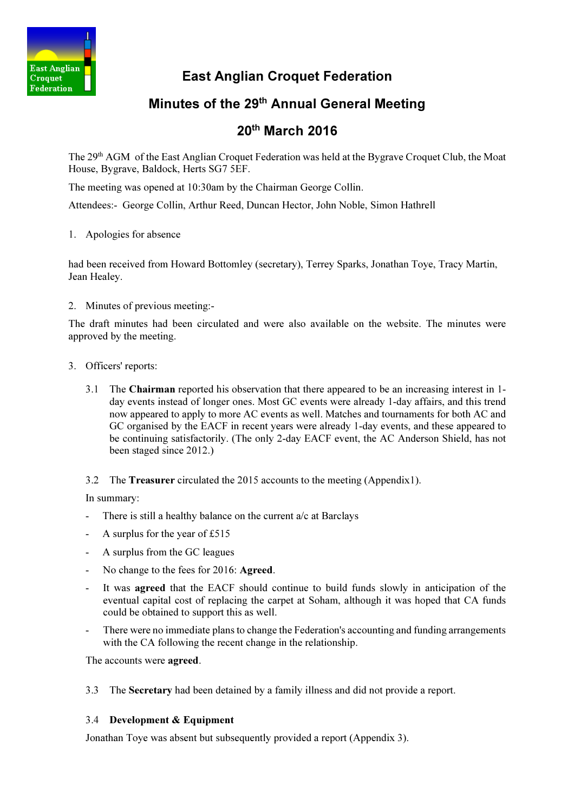

East Anglian Croquet Federation

## Minutes of the 29<sup>th</sup> Annual General Meeting

# 20th March 2016

The 29<sup>th</sup> AGM of the East Anglian Croquet Federation was held at the Bygrave Croquet Club, the Moat House, Bygrave, Baldock, Herts SG7 5EF.

The meeting was opened at 10:30am by the Chairman George Collin.

Attendees:- George Collin, Arthur Reed, Duncan Hector, John Noble, Simon Hathrell

1. Apologies for absence

had been received from Howard Bottomley (secretary), Terrey Sparks, Jonathan Toye, Tracy Martin, Jean Healey.

2. Minutes of previous meeting:-

The draft minutes had been circulated and were also available on the website. The minutes were approved by the meeting.

- 3. Officers' reports:
	- 3.1 The Chairman reported his observation that there appeared to be an increasing interest in 1 day events instead of longer ones. Most GC events were already 1-day affairs, and this trend now appeared to apply to more AC events as well. Matches and tournaments for both AC and GC organised by the EACF in recent years were already 1-day events, and these appeared to be continuing satisfactorily. (The only 2-day EACF event, the AC Anderson Shield, has not been staged since 2012.)

3.2 The Treasurer circulated the 2015 accounts to the meeting (Appendix1).

In summary:

- There is still a healthy balance on the current a/c at Barclays
- A surplus for the year of  $£515$
- A surplus from the GC leagues
- No change to the fees for 2016: Agreed.
- It was **agreed** that the EACF should continue to build funds slowly in anticipation of the eventual capital cost of replacing the carpet at Soham, although it was hoped that CA funds could be obtained to support this as well.
- There were no immediate plans to change the Federation's accounting and funding arrangements with the CA following the recent change in the relationship.

The accounts were agreed.

3.3 The Secretary had been detained by a family illness and did not provide a report.

#### 3.4 Development & Equipment

Jonathan Toye was absent but subsequently provided a report (Appendix 3).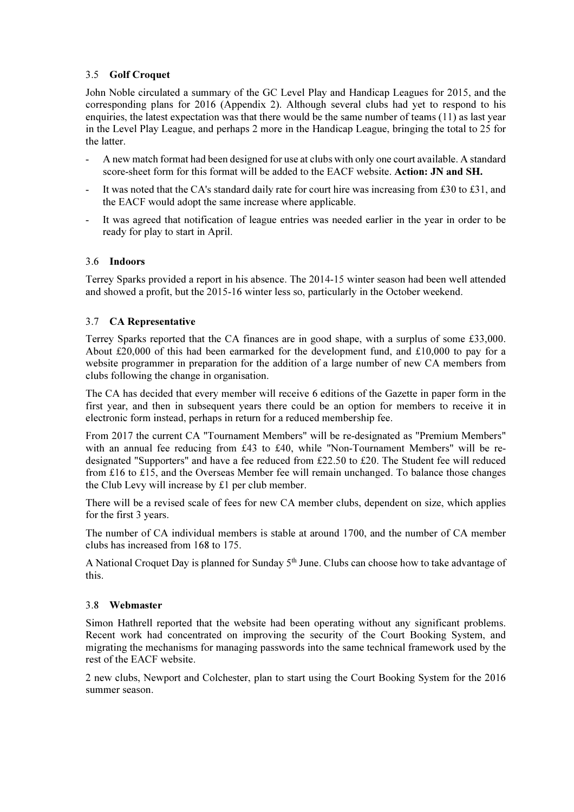#### 3.5 Golf Croquet

 John Noble circulated a summary of the GC Level Play and Handicap Leagues for 2015, and the corresponding plans for 2016 (Appendix 2). Although several clubs had yet to respond to his enquiries, the latest expectation was that there would be the same number of teams (11) as last year in the Level Play League, and perhaps 2 more in the Handicap League, bringing the total to 25 for the latter.

- A new match format had been designed for use at clubs with only one court available. A standard score-sheet form for this format will be added to the EACF website. Action: JN and SH.
- It was noted that the CA's standard daily rate for court hire was increasing from £30 to £31, and the EACF would adopt the same increase where applicable.
- It was agreed that notification of league entries was needed earlier in the year in order to be ready for play to start in April.

#### 3.6 Indoors

Terrey Sparks provided a report in his absence. The 2014-15 winter season had been well attended and showed a profit, but the 2015-16 winter less so, particularly in the October weekend.

#### 3.7 CA Representative

Terrey Sparks reported that the CA finances are in good shape, with a surplus of some £33,000. About £20,000 of this had been earmarked for the development fund, and £10,000 to pay for a website programmer in preparation for the addition of a large number of new CA members from clubs following the change in organisation.

The CA has decided that every member will receive 6 editions of the Gazette in paper form in the first year, and then in subsequent years there could be an option for members to receive it in electronic form instead, perhaps in return for a reduced membership fee.

From 2017 the current CA "Tournament Members" will be re-designated as "Premium Members" with an annual fee reducing from £43 to £40, while "Non-Tournament Members" will be redesignated "Supporters" and have a fee reduced from £22.50 to £20. The Student fee will reduced from £16 to £15, and the Overseas Member fee will remain unchanged. To balance those changes the Club Levy will increase by £1 per club member.

There will be a revised scale of fees for new CA member clubs, dependent on size, which applies for the first 3 years.

The number of CA individual members is stable at around 1700, and the number of CA member clubs has increased from 168 to 175.

A National Croquet Day is planned for Sunday 5<sup>th</sup> June. Clubs can choose how to take advantage of this.

#### 3.8 Webmaster

Simon Hathrell reported that the website had been operating without any significant problems. Recent work had concentrated on improving the security of the Court Booking System, and migrating the mechanisms for managing passwords into the same technical framework used by the rest of the EACF website.

2 new clubs, Newport and Colchester, plan to start using the Court Booking System for the 2016 summer season.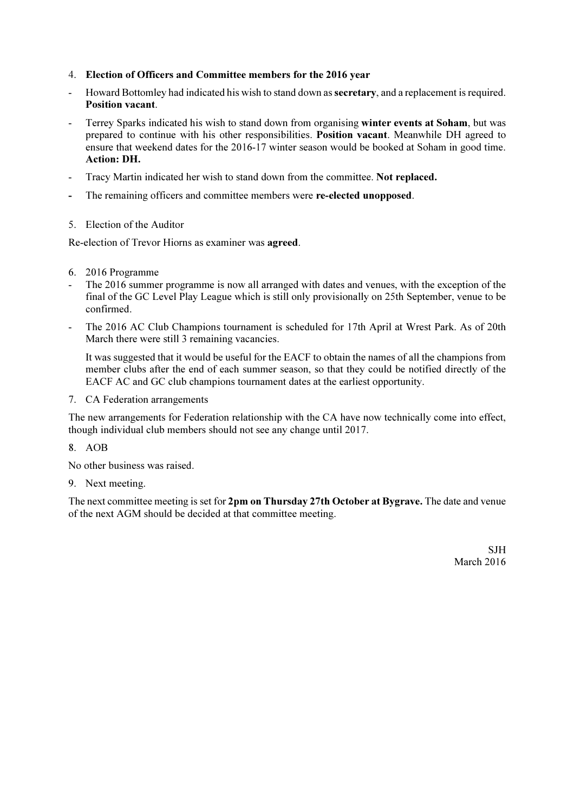- 4. Election of Officers and Committee members for the 2016 year
- Howard Bottomley had indicated his wish to stand down as **secretary**, and a replacement is required. Position vacant.
- Terrey Sparks indicated his wish to stand down from organising winter events at Soham, but was prepared to continue with his other responsibilities. Position vacant. Meanwhile DH agreed to ensure that weekend dates for the 2016-17 winter season would be booked at Soham in good time. Action: DH.
- Tracy Martin indicated her wish to stand down from the committee. Not replaced.
- The remaining officers and committee members were re-elected unopposed.
- 5. Election of the Auditor

Re-election of Trevor Hiorns as examiner was agreed.

- 6. 2016 Programme
- The 2016 summer programme is now all arranged with dates and venues, with the exception of the final of the GC Level Play League which is still only provisionally on 25th September, venue to be confirmed.
- The 2016 AC Club Champions tournament is scheduled for 17th April at Wrest Park. As of 20th March there were still 3 remaining vacancies.

 It was suggested that it would be useful for the EACF to obtain the names of all the champions from member clubs after the end of each summer season, so that they could be notified directly of the EACF AC and GC club champions tournament dates at the earliest opportunity.

7. CA Federation arrangements

The new arrangements for Federation relationship with the CA have now technically come into effect, though individual club members should not see any change until 2017.

8. AOB

No other business was raised.

9. Next meeting.

The next committee meeting is set for 2pm on Thursday 27th October at Bygrave. The date and venue of the next AGM should be decided at that committee meeting.

> SJH March 2016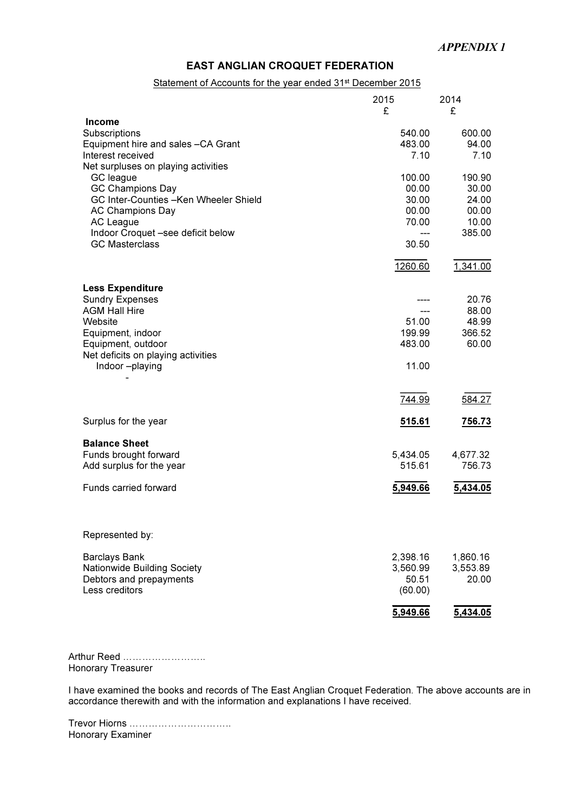#### EAST ANGLIAN CROQUET FEDERATION

#### Statement of Accounts for the year ended 31<sup>st</sup> December 2015

|                                       | 2015<br>£ | 2014<br>£ |
|---------------------------------------|-----------|-----------|
| <b>Income</b>                         |           |           |
| Subscriptions                         | 540.00    | 600.00    |
| Equipment hire and sales -CA Grant    | 483.00    | 94.00     |
| Interest received                     | 7.10      | 7.10      |
| Net surpluses on playing activities   |           |           |
| GC league                             | 100.00    | 190.90    |
| <b>GC Champions Day</b>               | 00.00     | 30.00     |
| GC Inter-Counties -Ken Wheeler Shield | 30.00     | 24.00     |
| <b>AC Champions Day</b>               | 00.00     | 00.00     |
| AC League                             | 70.00     | 10.00     |
| Indoor Croquet -see deficit below     | ---       | 385.00    |
| <b>GC Masterclass</b>                 | 30.50     |           |
|                                       | 1260.60   | 1,341.00  |
| <b>Less Expenditure</b>               |           |           |
| <b>Sundry Expenses</b>                |           | 20.76     |
| <b>AGM Hall Hire</b>                  | ---       | 88.00     |
| Website                               | 51.00     | 48.99     |
| Equipment, indoor                     | 199.99    | 366.52    |
| Equipment, outdoor                    | 483.00    | 60.00     |
| Net deficits on playing activities    |           |           |
| Indoor-playing                        | 11.00     |           |
|                                       |           |           |
|                                       | 744.99    | 584.27    |
| Surplus for the year                  | 515.61    | 756.73    |
| <b>Balance Sheet</b>                  |           |           |
| Funds brought forward                 | 5,434.05  | 4,677.32  |
| Add surplus for the year              | 515.61    | 756.73    |
| Funds carried forward                 | 5,949.66  | 5,434.05  |
| Represented by:                       |           |           |
| <b>Barclays Bank</b>                  | 2,398.16  | 1,860.16  |
| Nationwide Building Society           | 3,560.99  | 3,553.89  |
| Debtors and prepayments               | 50.51     | 20.00     |
| Less creditors                        | (60.00)   |           |
|                                       | 5,949.66  | 5,434.05  |
|                                       |           |           |

Arthur Reed …………………….. Honorary Treasurer

I have examined the books and records of The East Anglian Croquet Federation. The above accounts are in accordance therewith and with the information and explanations I have received.

Trevor Hiorns ………………………….. Honorary Examiner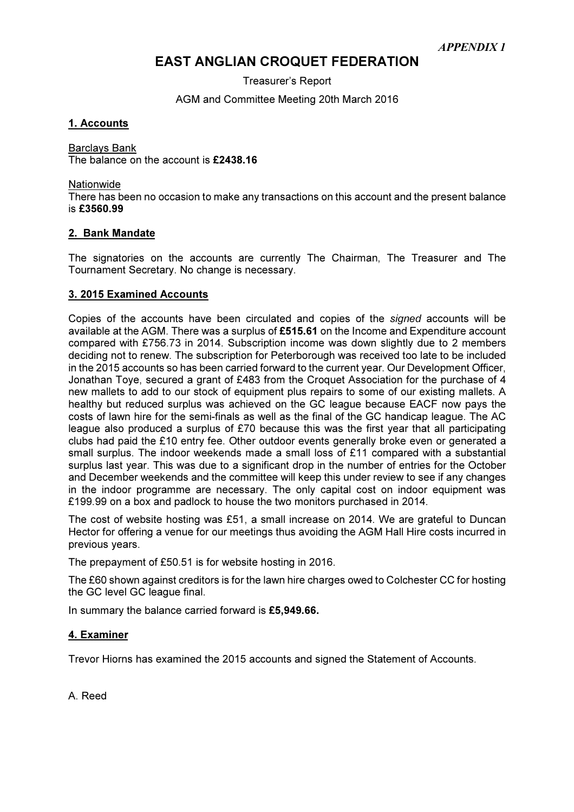## EAST ANGLIAN CROQUET FEDERATION

Treasurer's Report

AGM and Committee Meeting 20th March 2016

#### 1. Accounts

Barclays Bank The balance on the account is £2438.16

**Nationwide** 

There has been no occasion to make any transactions on this account and the present balance is £3560.99

#### 2. Bank Mandate

The signatories on the accounts are currently The Chairman, The Treasurer and The Tournament Secretary. No change is necessary.

#### 3. 2015 Examined Accounts

Copies of the accounts have been circulated and copies of the signed accounts will be available at the AGM. There was a surplus of £515.61 on the Income and Expenditure account compared with £756.73 in 2014. Subscription income was down slightly due to 2 members deciding not to renew. The subscription for Peterborough was received too late to be included in the 2015 accounts so has been carried forward to the current year. Our Development Officer, Jonathan Toye, secured a grant of £483 from the Croquet Association for the purchase of 4 new mallets to add to our stock of equipment plus repairs to some of our existing mallets. A healthy but reduced surplus was achieved on the GC league because EACF now pays the costs of lawn hire for the semi-finals as well as the final of the GC handicap league. The AC league also produced a surplus of £70 because this was the first year that all participating clubs had paid the £10 entry fee. Other outdoor events generally broke even or generated a small surplus. The indoor weekends made a small loss of £11 compared with a substantial surplus last year. This was due to a significant drop in the number of entries for the October and December weekends and the committee will keep this under review to see if any changes in the indoor programme are necessary. The only capital cost on indoor equipment was £199.99 on a box and padlock to house the two monitors purchased in 2014.

The cost of website hosting was £51, a small increase on 2014. We are grateful to Duncan Hector for offering a venue for our meetings thus avoiding the AGM Hall Hire costs incurred in previous years.

The prepayment of £50.51 is for website hosting in 2016.

The £60 shown against creditors is for the lawn hire charges owed to Colchester CC for hosting the GC level GC league final.

In summary the balance carried forward is £5,949.66.

#### 4. Examiner

Trevor Hiorns has examined the 2015 accounts and signed the Statement of Accounts.

A. Reed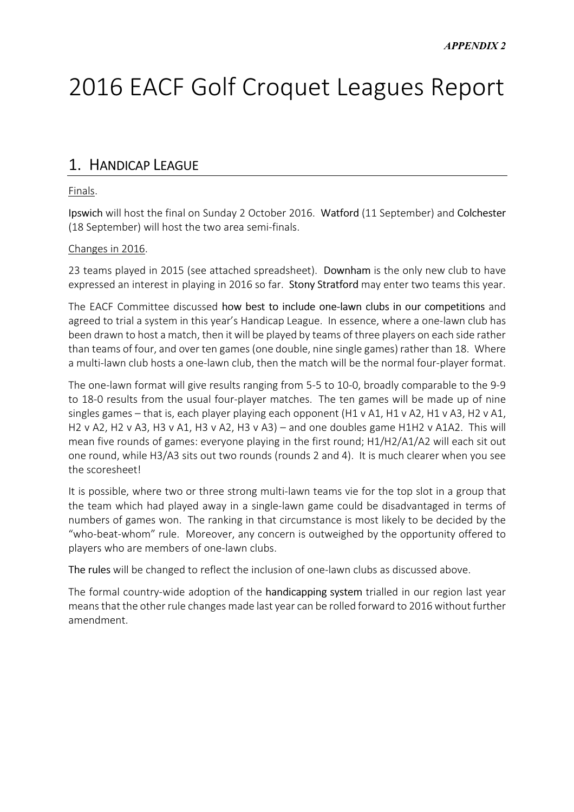# 2016 EACF Golf Croquet Leagues Report

## 1. HANDICAP LEAGUE

#### Finals.

Ipswich will host the final on Sunday 2 October 2016. Watford (11 September) and Colchester (18 September) will host the two area semi-finals.

#### Changes in 2016.

23 teams played in 2015 (see attached spreadsheet). Downham is the only new club to have expressed an interest in playing in 2016 so far. Stony Stratford may enter two teams this year.

The EACF Committee discussed how best to include one-lawn clubs in our competitions and agreed to trial a system in this year's Handicap League. In essence, where a one-lawn club has been drawn to host a match, then it will be played by teams of three players on each side rather than teams of four, and over ten games (one double, nine single games) rather than 18. Where a multi-lawn club hosts a one-lawn club, then the match will be the normal four-player format.

The one-lawn format will give results ranging from 5-5 to 10-0, broadly comparable to the 9-9 to 18-0 results from the usual four-player matches. The ten games will be made up of nine singles games – that is, each player playing each opponent (H1 v A1, H1 v A2, H1 v A3, H2 v A1, H2 v A2, H2 v A3, H3 v A1, H3 v A2, H3 v A3) – and one doubles game H1H2 v A1A2. This will mean five rounds of games: everyone playing in the first round; H1/H2/A1/A2 will each sit out one round, while H3/A3 sits out two rounds (rounds 2 and 4). It is much clearer when you see the scoresheet!

It is possible, where two or three strong multi-lawn teams vie for the top slot in a group that the team which had played away in a single-lawn game could be disadvantaged in terms of numbers of games won. The ranking in that circumstance is most likely to be decided by the "who-beat-whom" rule. Moreover, any concern is outweighed by the opportunity offered to players who are members of one-lawn clubs.

The rules will be changed to reflect the inclusion of one-lawn clubs as discussed above.

The formal country-wide adoption of the handicapping system trialled in our region last year means that the other rule changes made last year can be rolled forward to 2016 without further amendment.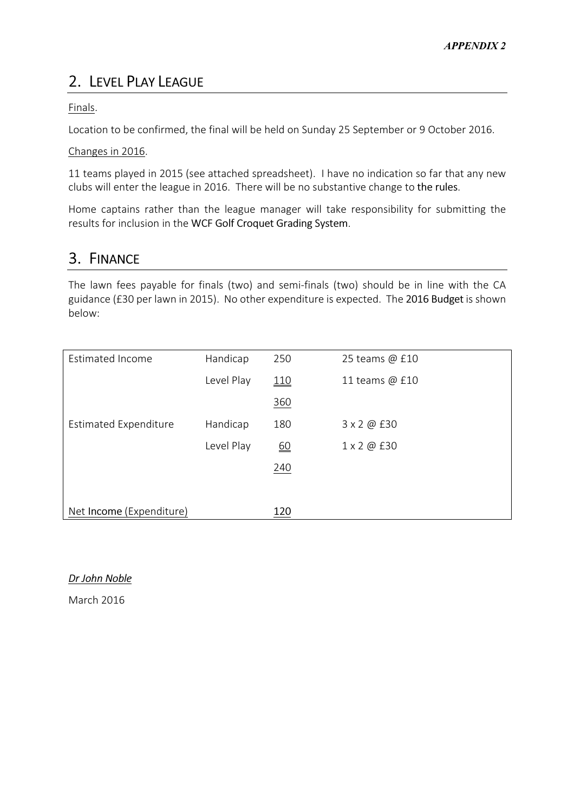# 2. LEVEL PLAY LEAGUE

Finals.

Location to be confirmed, the final will be held on Sunday 25 September or 9 October 2016.

#### Changes in 2016.

11 teams played in 2015 (see attached spreadsheet). I have no indication so far that any new clubs will enter the league in 2016. There will be no substantive change to the rules.

Home captains rather than the league manager will take responsibility for submitting the results for inclusion in the WCF Golf Croquet Grading System.

## 3. FINANCE

The lawn fees payable for finals (two) and semi-finals (two) should be in line with the CA guidance (£30 per lawn in 2015). No other expenditure is expected. The 2016 Budget is shown below:

| <b>Estimated Income</b>      | Handicap   | 250        | 25 teams @ £10 |
|------------------------------|------------|------------|----------------|
|                              | Level Play | <u>110</u> | 11 teams @ £10 |
|                              |            | 360        |                |
| <b>Estimated Expenditure</b> | Handicap   | 180        | 3 x 2 @ £30    |
|                              | Level Play | <u>60</u>  | 1 x 2 @ £30    |
|                              |            | 240        |                |
|                              |            |            |                |
| Net Income (Expenditure)     |            | 120        |                |

### Dr John Noble

March 2016